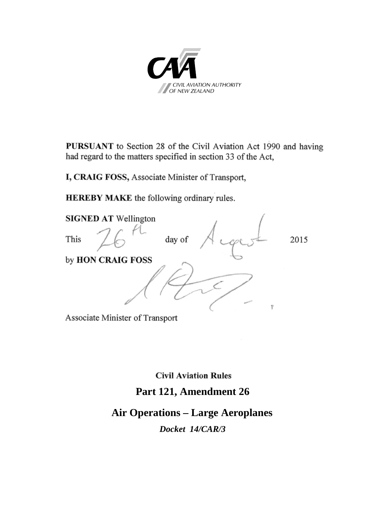

PURSUANT to Section 28 of the Civil Aviation Act 1990 and having had regard to the matters specified in section 33 of the Act,

I, CRAIG FOSS, Associate Minister of Transport,

**HEREBY MAKE** the following ordinary rules.



Associate Minister of Transport

**Civil Aviation Rules** 

## **Part 121, Amendment 26**

# **Air Operations – Large Aeroplanes**

*Docket 14/CAR/3*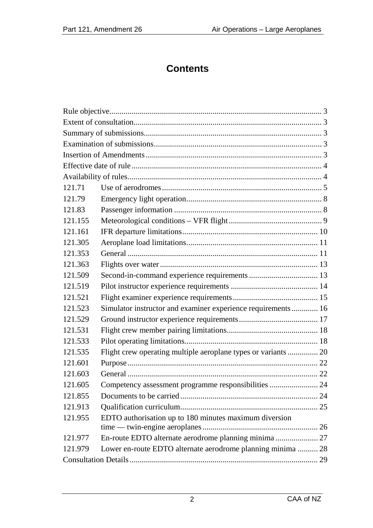# **Contents**

| 121.71  |                                                                |  |  |  |
|---------|----------------------------------------------------------------|--|--|--|
| 121.79  |                                                                |  |  |  |
| 121.83  |                                                                |  |  |  |
| 121.155 |                                                                |  |  |  |
| 121.161 |                                                                |  |  |  |
| 121.305 |                                                                |  |  |  |
| 121.353 |                                                                |  |  |  |
| 121.363 |                                                                |  |  |  |
| 121.509 |                                                                |  |  |  |
| 121.519 |                                                                |  |  |  |
| 121.521 |                                                                |  |  |  |
| 121.523 | Simulator instructor and examiner experience requirements 16   |  |  |  |
| 121.529 |                                                                |  |  |  |
| 121.531 |                                                                |  |  |  |
| 121.533 |                                                                |  |  |  |
| 121.535 | Flight crew operating multiple aeroplane types or variants  20 |  |  |  |
| 121.601 |                                                                |  |  |  |
| 121.603 |                                                                |  |  |  |
| 121.605 | Competency assessment programme responsibilities  24           |  |  |  |
| 121.855 |                                                                |  |  |  |
| 121.913 |                                                                |  |  |  |
| 121.955 | EDTO authorisation up to 180 minutes maximum diversion         |  |  |  |
|         |                                                                |  |  |  |
| 121.977 | En-route EDTO alternate aerodrome planning minima 27           |  |  |  |
| 121.979 | Lower en-route EDTO alternate aerodrome planning minima  28    |  |  |  |
|         |                                                                |  |  |  |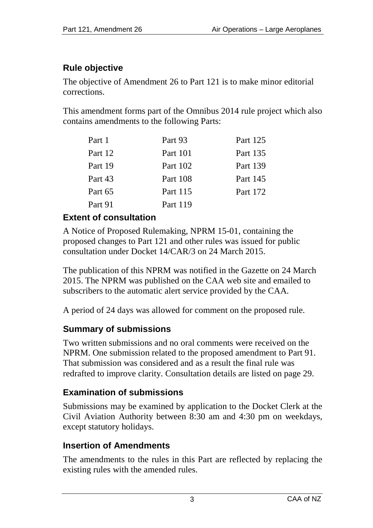## **Rule objective**

The objective of Amendment 26 to Part 121 is to make minor editorial corrections.

This amendment forms part of the Omnibus 2014 rule project which also contains amendments to the following Parts:

| Part 1  | Part 93  | Part 125 |
|---------|----------|----------|
| Part 12 | Part 101 | Part 135 |
| Part 19 | Part 102 | Part 139 |
| Part 43 | Part 108 | Part 145 |
| Part 65 | Part 115 | Part 172 |
| Part 91 | Part 119 |          |

## **Extent of consultation**

A Notice of Proposed Rulemaking, NPRM 15-01, containing the proposed changes to Part 121 and other rules was issued for public consultation under Docket 14/CAR/3 on 24 March 2015.

The publication of this NPRM was notified in the Gazette on 24 March 2015. The NPRM was published on the CAA web site and emailed to subscribers to the automatic alert service provided by the CAA.

A period of 24 days was allowed for comment on the proposed rule.

## **Summary of submissions**

Two written submissions and no oral comments were received on the NPRM. One submission related to the proposed amendment to Part 91. That submission was considered and as a result the final rule was redrafted to improve clarity. Consultation details are listed on page 29.

## **Examination of submissions**

Submissions may be examined by application to the Docket Clerk at the Civil Aviation Authority between 8:30 am and 4:30 pm on weekdays, except statutory holidays.

## **Insertion of Amendments**

The amendments to the rules in this Part are reflected by replacing the existing rules with the amended rules.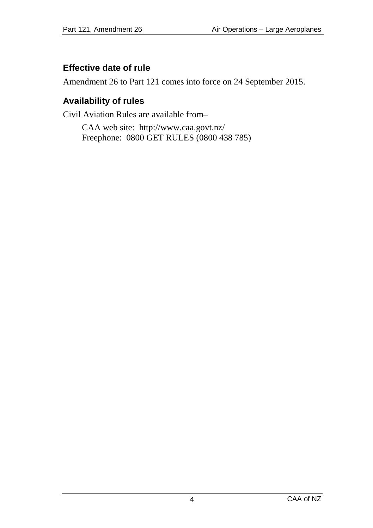## **Effective date of rule**

Amendment 26 to Part 121 comes into force on 24 September 2015.

## **Availability of rules**

Civil Aviation Rules are available from–

CAA web site:<http://www.caa.govt.nz/> Freephone: 0800 GET RULES (0800 438 785)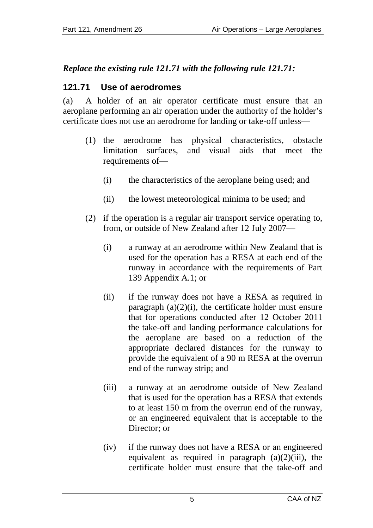## *Replace the existing rule 121.71 with the following rule 121.71:*

## **121.71 Use of aerodromes**

(a) A holder of an air operator certificate must ensure that an aeroplane performing an air operation under the authority of the holder's certificate does not use an aerodrome for landing or take-off unless—

- (1) the aerodrome has physical characteristics, obstacle limitation surfaces, and visual aids that meet the requirements of—
	- (i) the characteristics of the aeroplane being used; and
	- (ii) the lowest meteorological minima to be used; and
- (2) if the operation is a regular air transport service operating to, from, or outside of New Zealand after 12 July 2007—
	- (i) a runway at an aerodrome within New Zealand that is used for the operation has a RESA at each end of the runway in accordance with the requirements of Part 139 Appendix A.1; or
	- (ii) if the runway does not have a RESA as required in paragraph  $(a)(2)(i)$ , the certificate holder must ensure that for operations conducted after 12 October 2011 the take-off and landing performance calculations for the aeroplane are based on a reduction of the appropriate declared distances for the runway to provide the equivalent of a 90 m RESA at the overrun end of the runway strip; and
	- (iii) a runway at an aerodrome outside of New Zealand that is used for the operation has a RESA that extends to at least 150 m from the overrun end of the runway, or an engineered equivalent that is acceptable to the Director; or
	- (iv) if the runway does not have a RESA or an engineered equivalent as required in paragraph  $(a)(2)(iii)$ , the certificate holder must ensure that the take-off and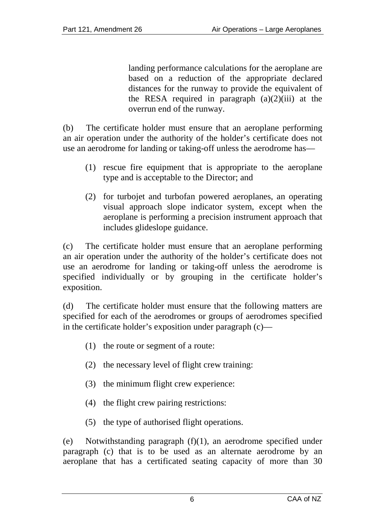landing performance calculations for the aeroplane are based on a reduction of the appropriate declared distances for the runway to provide the equivalent of the RESA required in paragraph  $(a)(2)(iii)$  at the overrun end of the runway.

(b) The certificate holder must ensure that an aeroplane performing an air operation under the authority of the holder's certificate does not use an aerodrome for landing or taking-off unless the aerodrome has—

- (1) rescue fire equipment that is appropriate to the aeroplane type and is acceptable to the Director; and
- (2) for turbojet and turbofan powered aeroplanes, an operating visual approach slope indicator system, except when the aeroplane is performing a precision instrument approach that includes glideslope guidance.

(c) The certificate holder must ensure that an aeroplane performing an air operation under the authority of the holder's certificate does not use an aerodrome for landing or taking-off unless the aerodrome is specified individually or by grouping in the certificate holder's exposition.

(d) The certificate holder must ensure that the following matters are specified for each of the aerodromes or groups of aerodromes specified in the certificate holder's exposition under paragraph (c)—

- (1) the route or segment of a route:
- (2) the necessary level of flight crew training:
- (3) the minimum flight crew experience:
- (4) the flight crew pairing restrictions:
- (5) the type of authorised flight operations.

(e) Notwithstanding paragraph (f)(1), an aerodrome specified under paragraph (c) that is to be used as an alternate aerodrome by an aeroplane that has a certificated seating capacity of more than 30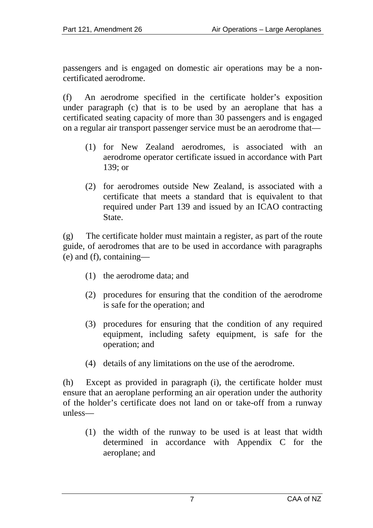passengers and is engaged on domestic air operations may be a noncertificated aerodrome.

(f) An aerodrome specified in the certificate holder's exposition under paragraph (c) that is to be used by an aeroplane that has a certificated seating capacity of more than 30 passengers and is engaged on a regular air transport passenger service must be an aerodrome that—

- (1) for New Zealand aerodromes, is associated with an aerodrome operator certificate issued in accordance with Part 139; or
- (2) for aerodromes outside New Zealand, is associated with a certificate that meets a standard that is equivalent to that required under Part 139 and issued by an ICAO contracting State.

(g) The certificate holder must maintain a register, as part of the route guide, of aerodromes that are to be used in accordance with paragraphs (e) and (f), containing—

- (1) the aerodrome data; and
- (2) procedures for ensuring that the condition of the aerodrome is safe for the operation; and
- (3) procedures for ensuring that the condition of any required equipment, including safety equipment, is safe for the operation; and
- (4) details of any limitations on the use of the aerodrome.

(h) Except as provided in paragraph (i), the certificate holder must ensure that an aeroplane performing an air operation under the authority of the holder's certificate does not land on or take-off from a runway unless—

(1) the width of the runway to be used is at least that width determined in accordance with Appendix C for the aeroplane; and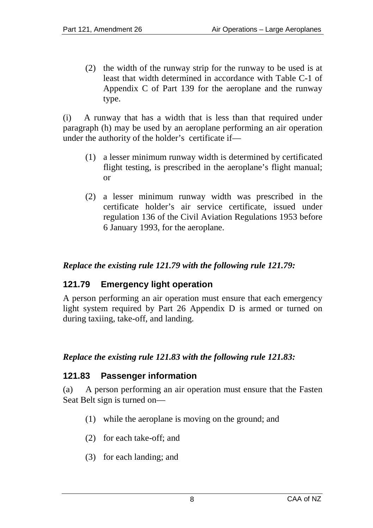(2) the width of the runway strip for the runway to be used is at least that width determined in accordance with Table C-1 of Appendix C of Part 139 for the aeroplane and the runway type.

(i) A runway that has a width that is less than that required under paragraph (h) may be used by an aeroplane performing an air operation under the authority of the holder's certificate if—

- (1) a lesser minimum runway width is determined by certificated flight testing, is prescribed in the aeroplane's flight manual; or
- (2) a lesser minimum runway width was prescribed in the certificate holder's air service certificate, issued under regulation 136 of the Civil Aviation Regulations 1953 before 6 January 1993, for the aeroplane.

#### *Replace the existing rule 121.79 with the following rule 121.79:*

#### **121.79 Emergency light operation**

A person performing an air operation must ensure that each emergency light system required by Part 26 Appendix D is armed or turned on during taxiing, take-off, and landing.

#### *Replace the existing rule 121.83 with the following rule 121.83:*

#### **121.83 Passenger information**

(a) A person performing an air operation must ensure that the Fasten Seat Belt sign is turned on—

- (1) while the aeroplane is moving on the ground; and
- (2) for each take-off; and
- (3) for each landing; and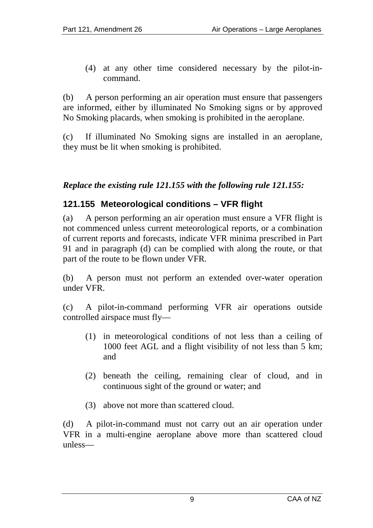(4) at any other time considered necessary by the pilot-incommand.

(b) A person performing an air operation must ensure that passengers are informed, either by illuminated No Smoking signs or by approved No Smoking placards, when smoking is prohibited in the aeroplane.

(c) If illuminated No Smoking signs are installed in an aeroplane, they must be lit when smoking is prohibited.

#### *Replace the existing rule 121.155 with the following rule 121.155:*

#### **121.155 Meteorological conditions – VFR flight**

(a) A person performing an air operation must ensure a VFR flight is not commenced unless current meteorological reports, or a combination of current reports and forecasts, indicate VFR minima prescribed in Part 91 and in paragraph (d) can be complied with along the route, or that part of the route to be flown under VFR.

(b) A person must not perform an extended over-water operation under VFR.

(c) A pilot-in-command performing VFR air operations outside controlled airspace must fly—

- (1) in meteorological conditions of not less than a ceiling of 1000 feet AGL and a flight visibility of not less than 5 km; and
- (2) beneath the ceiling, remaining clear of cloud, and in continuous sight of the ground or water; and
- (3) above not more than scattered cloud.

(d) A pilot-in-command must not carry out an air operation under VFR in a multi-engine aeroplane above more than scattered cloud unless—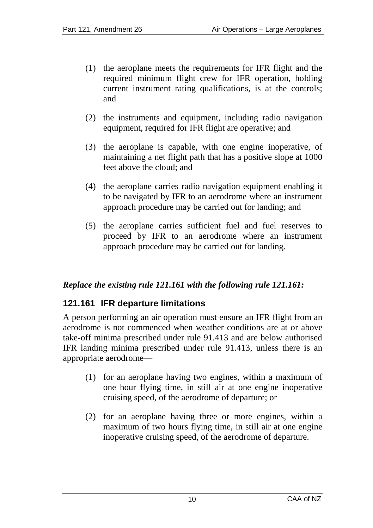- (1) the aeroplane meets the requirements for IFR flight and the required minimum flight crew for IFR operation, holding current instrument rating qualifications, is at the controls; and
- (2) the instruments and equipment, including radio navigation equipment, required for IFR flight are operative; and
- (3) the aeroplane is capable, with one engine inoperative, of maintaining a net flight path that has a positive slope at 1000 feet above the cloud; and
- (4) the aeroplane carries radio navigation equipment enabling it to be navigated by IFR to an aerodrome where an instrument approach procedure may be carried out for landing; and
- (5) the aeroplane carries sufficient fuel and fuel reserves to proceed by IFR to an aerodrome where an instrument approach procedure may be carried out for landing.

#### *Replace the existing rule 121.161 with the following rule 121.161:*

## **121.161 IFR departure limitations**

A person performing an air operation must ensure an IFR flight from an aerodrome is not commenced when weather conditions are at or above take-off minima prescribed under rule 91.413 and are below authorised IFR landing minima prescribed under rule 91.413, unless there is an appropriate aerodrome—

- (1) for an aeroplane having two engines, within a maximum of one hour flying time, in still air at one engine inoperative cruising speed, of the aerodrome of departure; or
- (2) for an aeroplane having three or more engines, within a maximum of two hours flying time, in still air at one engine inoperative cruising speed, of the aerodrome of departure.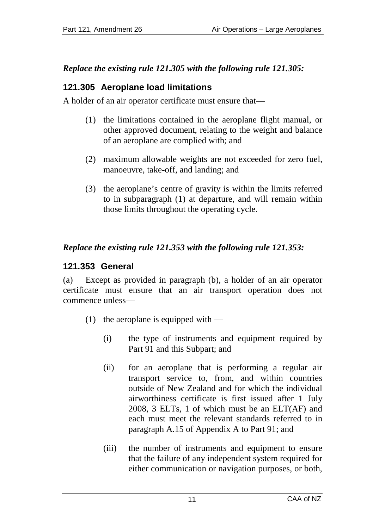## *Replace the existing rule 121.305 with the following rule 121.305:*

## **121.305 Aeroplane load limitations**

A holder of an air operator certificate must ensure that—

- (1) the limitations contained in the aeroplane flight manual, or other approved document, relating to the weight and balance of an aeroplane are complied with; and
- (2) maximum allowable weights are not exceeded for zero fuel, manoeuvre, take-off, and landing; and
- (3) the aeroplane's centre of gravity is within the limits referred to in subparagraph (1) at departure, and will remain within those limits throughout the operating cycle.

## *Replace the existing rule 121.353 with the following rule 121.353:*

## **121.353 General**

(a) Except as provided in paragraph (b), a holder of an air operator certificate must ensure that an air transport operation does not commence unless—

- (1) the aeroplane is equipped with
	- (i) the type of instruments and equipment required by Part 91 and this Subpart; and
	- (ii) for an aeroplane that is performing a regular air transport service to, from, and within countries outside of New Zealand and for which the individual airworthiness certificate is first issued after 1 July 2008, 3 ELTs, 1 of which must be an ELT(AF) and each must meet the relevant standards referred to in paragraph A.15 of Appendix A to Part 91; and
	- (iii) the number of instruments and equipment to ensure that the failure of any independent system required for either communication or navigation purposes, or both,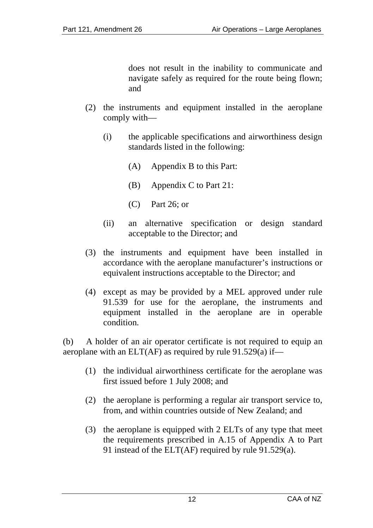does not result in the inability to communicate and navigate safely as required for the route being flown; and

- (2) the instruments and equipment installed in the aeroplane comply with—
	- (i) the applicable specifications and airworthiness design standards listed in the following:
		- (A) Appendix B to this Part:
		- (B) Appendix C to Part 21:
		- (C) Part 26; or
	- (ii) an alternative specification or design standard acceptable to the Director; and
- (3) the instruments and equipment have been installed in accordance with the aeroplane manufacturer's instructions or equivalent instructions acceptable to the Director; and
- (4) except as may be provided by a MEL approved under rule 91.539 for use for the aeroplane, the instruments and equipment installed in the aeroplane are in operable condition.

(b) A holder of an air operator certificate is not required to equip an aeroplane with an  $ELT(AF)$  as required by rule 91.529(a) if—

- (1) the individual airworthiness certificate for the aeroplane was first issued before 1 July 2008; and
- (2) the aeroplane is performing a regular air transport service to, from, and within countries outside of New Zealand; and
- (3) the aeroplane is equipped with 2 ELTs of any type that meet the requirements prescribed in A.15 of Appendix A to Part 91 instead of the ELT(AF) required by rule 91.529(a).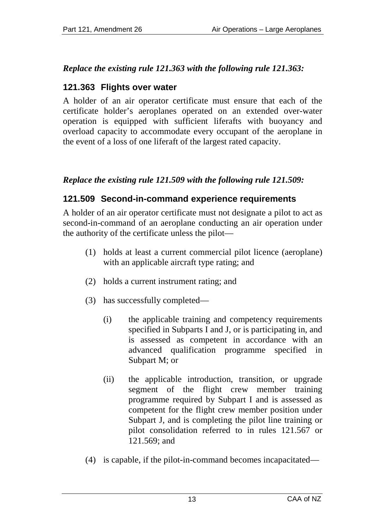## *Replace the existing rule 121.363 with the following rule 121.363:*

## **121.363 Flights over water**

A holder of an air operator certificate must ensure that each of the certificate holder's aeroplanes operated on an extended over-water operation is equipped with sufficient liferafts with buoyancy and overload capacity to accommodate every occupant of the aeroplane in the event of a loss of one liferaft of the largest rated capacity.

## *Replace the existing rule 121.509 with the following rule 121.509:*

## **121.509 Second-in-command experience requirements**

A holder of an air operator certificate must not designate a pilot to act as second-in-command of an aeroplane conducting an air operation under the authority of the certificate unless the pilot—

- (1) holds at least a current commercial pilot licence (aeroplane) with an applicable aircraft type rating; and
- (2) holds a current instrument rating; and
- (3) has successfully completed—
	- (i) the applicable training and competency requirements specified in Subparts I and J, or is participating in, and is assessed as competent in accordance with an advanced qualification programme specified in Subpart M; or
	- (ii) the applicable introduction, transition, or upgrade segment of the flight crew member training programme required by Subpart I and is assessed as competent for the flight crew member position under Subpart J, and is completing the pilot line training or pilot consolidation referred to in rules 121.567 or 121.569; and
- (4) is capable, if the pilot-in-command becomes incapacitated—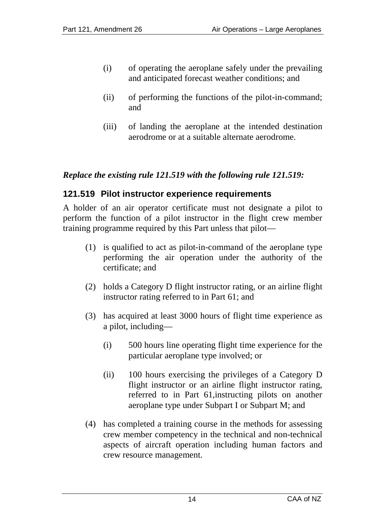- (i) of operating the aeroplane safely under the prevailing and anticipated forecast weather conditions; and
- (ii) of performing the functions of the pilot-in-command; and
- (iii) of landing the aeroplane at the intended destination aerodrome or at a suitable alternate aerodrome.

#### *Replace the existing rule 121.519 with the following rule 121.519:*

#### **121.519 Pilot instructor experience requirements**

A holder of an air operator certificate must not designate a pilot to perform the function of a pilot instructor in the flight crew member training programme required by this Part unless that pilot—

- (1) is qualified to act as pilot-in-command of the aeroplane type performing the air operation under the authority of the certificate; and
- (2) holds a Category D flight instructor rating, or an airline flight instructor rating referred to in Part 61; and
- (3) has acquired at least 3000 hours of flight time experience as a pilot, including—
	- (i) 500 hours line operating flight time experience for the particular aeroplane type involved; or
	- (ii) 100 hours exercising the privileges of a Category D flight instructor or an airline flight instructor rating, referred to in Part 61,instructing pilots on another aeroplane type under Subpart I or Subpart M; and
- (4) has completed a training course in the methods for assessing crew member competency in the technical and non-technical aspects of aircraft operation including human factors and crew resource management.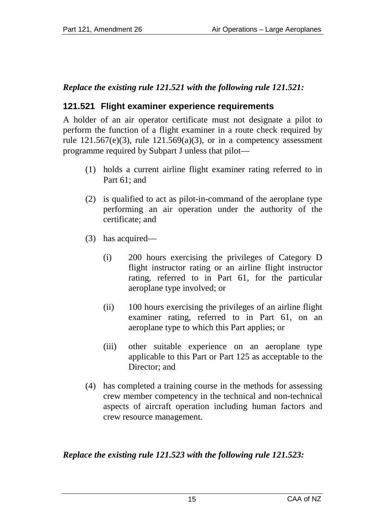## *Replace the existing rule 121.521 with the following rule 121.521:*

## **121.521 Flight examiner experience requirements**

A holder of an air operator certificate must not designate a pilot to perform the function of a flight examiner in a route check required by rule  $121.567(e)(3)$ , rule  $121.569(a)(3)$ , or in a competency assessment programme required by Subpart J unless that pilot—

- (1) holds a current airline flight examiner rating referred to in Part 61; and
- (2) is qualified to act as pilot-in-command of the aeroplane type performing an air operation under the authority of the certificate; and
- (3) has acquired—
	- (i) 200 hours exercising the privileges of Category D flight instructor rating or an airline flight instructor rating, referred to in Part 61, for the particular aeroplane type involved; or
	- (ii) 100 hours exercising the privileges of an airline flight examiner rating, referred to in Part 61, on an aeroplane type to which this Part applies; or
	- (iii) other suitable experience on an aeroplane type applicable to this Part or Part 125 as acceptable to the Director: and
- (4) has completed a training course in the methods for assessing crew member competency in the technical and non-technical aspects of aircraft operation including human factors and crew resource management.

#### *Replace the existing rule 121.523 with the following rule 121.523:*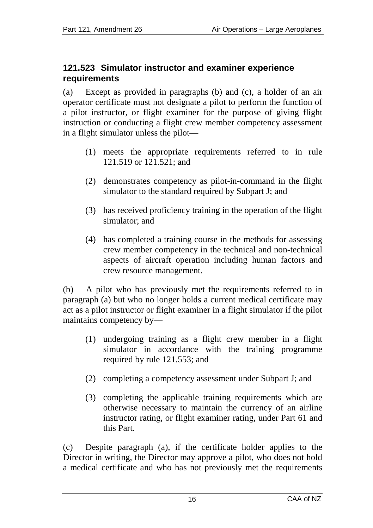#### **121.523 Simulator instructor and examiner experience requirements**

(a) Except as provided in paragraphs (b) and (c), a holder of an air operator certificate must not designate a pilot to perform the function of a pilot instructor, or flight examiner for the purpose of giving flight instruction or conducting a flight crew member competency assessment in a flight simulator unless the pilot—

- (1) meets the appropriate requirements referred to in rule 121.519 or 121.521; and
- (2) demonstrates competency as pilot-in-command in the flight simulator to the standard required by Subpart J; and
- (3) has received proficiency training in the operation of the flight simulator; and
- (4) has completed a training course in the methods for assessing crew member competency in the technical and non-technical aspects of aircraft operation including human factors and crew resource management.

(b) A pilot who has previously met the requirements referred to in paragraph (a) but who no longer holds a current medical certificate may act as a pilot instructor or flight examiner in a flight simulator if the pilot maintains competency by—

- (1) undergoing training as a flight crew member in a flight simulator in accordance with the training programme required by rule 121.553; and
- (2) completing a competency assessment under Subpart J; and
- (3) completing the applicable training requirements which are otherwise necessary to maintain the currency of an airline instructor rating, or flight examiner rating, under Part 61 and this Part.

(c) Despite paragraph (a), if the certificate holder applies to the Director in writing, the Director may approve a pilot, who does not hold a medical certificate and who has not previously met the requirements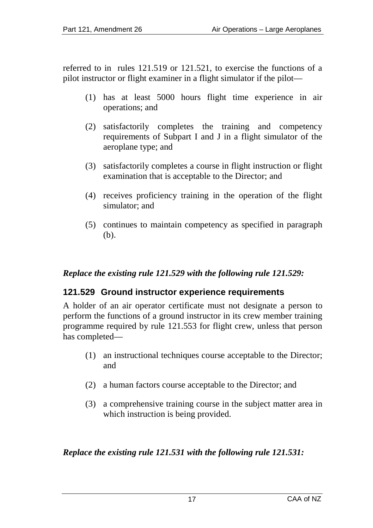referred to in rules 121.519 or 121.521, to exercise the functions of a pilot instructor or flight examiner in a flight simulator if the pilot—

- (1) has at least 5000 hours flight time experience in air operations; and
- (2) satisfactorily completes the training and competency requirements of Subpart I and J in a flight simulator of the aeroplane type; and
- (3) satisfactorily completes a course in flight instruction or flight examination that is acceptable to the Director; and
- (4) receives proficiency training in the operation of the flight simulator; and
- (5) continues to maintain competency as specified in paragraph (b).

#### *Replace the existing rule 121.529 with the following rule 121.529:*

#### **121.529 Ground instructor experience requirements**

A holder of an air operator certificate must not designate a person to perform the functions of a ground instructor in its crew member training programme required by rule 121.553 for flight crew, unless that person has completed—

- (1) an instructional techniques course acceptable to the Director; and
- (2) a human factors course acceptable to the Director; and
- (3) a comprehensive training course in the subject matter area in which instruction is being provided.

#### *Replace the existing rule 121.531 with the following rule 121.531:*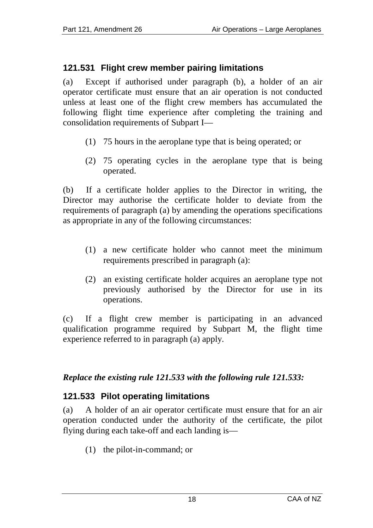## **121.531 Flight crew member pairing limitations**

(a) Except if authorised under paragraph (b), a holder of an air operator certificate must ensure that an air operation is not conducted unless at least one of the flight crew members has accumulated the following flight time experience after completing the training and consolidation requirements of Subpart I—

- (1) 75 hours in the aeroplane type that is being operated; or
- (2) 75 operating cycles in the aeroplane type that is being operated.

(b) If a certificate holder applies to the Director in writing, the Director may authorise the certificate holder to deviate from the requirements of paragraph (a) by amending the operations specifications as appropriate in any of the following circumstances:

- (1) a new certificate holder who cannot meet the minimum requirements prescribed in paragraph (a):
- (2) an existing certificate holder acquires an aeroplane type not previously authorised by the Director for use in its operations.

(c) If a flight crew member is participating in an advanced qualification programme required by Subpart M, the flight time experience referred to in paragraph (a) apply.

#### *Replace the existing rule 121.533 with the following rule 121.533:*

## **121.533 Pilot operating limitations**

(a) A holder of an air operator certificate must ensure that for an air operation conducted under the authority of the certificate, the pilot flying during each take-off and each landing is—

(1) the pilot-in-command; or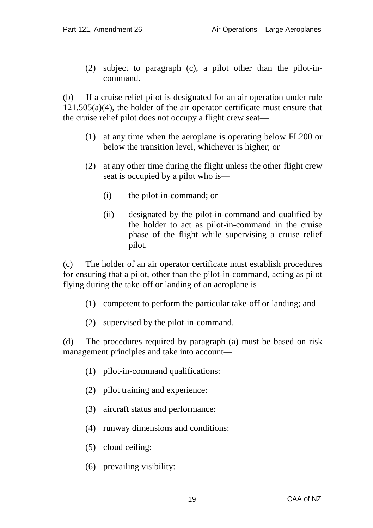(2) subject to paragraph (c), a pilot other than the pilot-incommand.

(b) If a cruise relief pilot is designated for an air operation under rule  $121.505(a)(4)$ , the holder of the air operator certificate must ensure that the cruise relief pilot does not occupy a flight crew seat—

- (1) at any time when the aeroplane is operating below FL200 or below the transition level, whichever is higher; or
- (2) at any other time during the flight unless the other flight crew seat is occupied by a pilot who is—
	- (i) the pilot-in-command; or
	- (ii) designated by the pilot-in-command and qualified by the holder to act as pilot-in-command in the cruise phase of the flight while supervising a cruise relief pilot.

(c) The holder of an air operator certificate must establish procedures for ensuring that a pilot, other than the pilot-in-command, acting as pilot flying during the take-off or landing of an aeroplane is—

- (1) competent to perform the particular take-off or landing; and
- (2) supervised by the pilot-in-command.

(d) The procedures required by paragraph (a) must be based on risk management principles and take into account—

- (1) pilot-in-command qualifications:
- (2) pilot training and experience:
- (3) aircraft status and performance:
- (4) runway dimensions and conditions:
- (5) cloud ceiling:
- (6) prevailing visibility: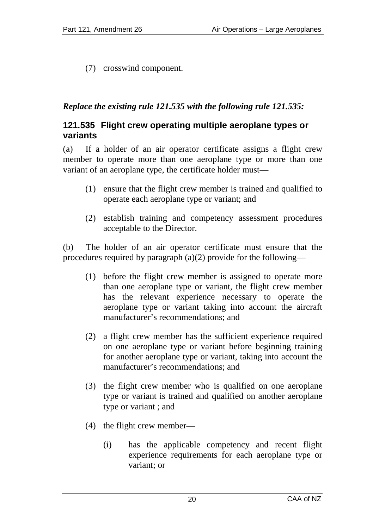(7) crosswind component.

#### *Replace the existing rule 121.535 with the following rule 121.535:*

#### **121.535 Flight crew operating multiple aeroplane types or variants**

(a) If a holder of an air operator certificate assigns a flight crew member to operate more than one aeroplane type or more than one variant of an aeroplane type, the certificate holder must—

- (1) ensure that the flight crew member is trained and qualified to operate each aeroplane type or variant; and
- (2) establish training and competency assessment procedures acceptable to the Director.

(b) The holder of an air operator certificate must ensure that the procedures required by paragraph (a)(2) provide for the following—

- (1) before the flight crew member is assigned to operate more than one aeroplane type or variant, the flight crew member has the relevant experience necessary to operate the aeroplane type or variant taking into account the aircraft manufacturer's recommendations; and
- (2) a flight crew member has the sufficient experience required on one aeroplane type or variant before beginning training for another aeroplane type or variant, taking into account the manufacturer's recommendations; and
- (3) the flight crew member who is qualified on one aeroplane type or variant is trained and qualified on another aeroplane type or variant ; and
- (4) the flight crew member—
	- (i) has the applicable competency and recent flight experience requirements for each aeroplane type or variant; or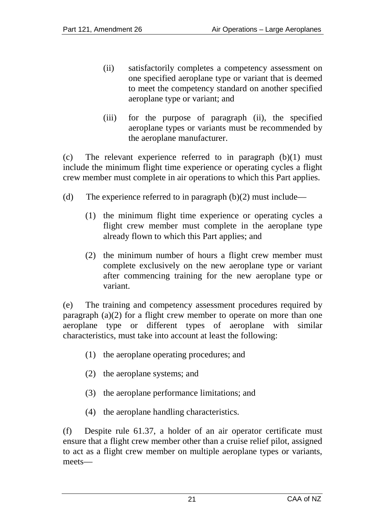- (ii) satisfactorily completes a competency assessment on one specified aeroplane type or variant that is deemed to meet the competency standard on another specified aeroplane type or variant; and
- (iii) for the purpose of paragraph (ii), the specified aeroplane types or variants must be recommended by the aeroplane manufacturer.

(c) The relevant experience referred to in paragraph (b)(1) must include the minimum flight time experience or operating cycles a flight crew member must complete in air operations to which this Part applies.

- (d) The experience referred to in paragraph  $(b)(2)$  must include—
	- (1) the minimum flight time experience or operating cycles a flight crew member must complete in the aeroplane type already flown to which this Part applies; and
	- (2) the minimum number of hours a flight crew member must complete exclusively on the new aeroplane type or variant after commencing training for the new aeroplane type or variant.

(e) The training and competency assessment procedures required by paragraph (a)(2) for a flight crew member to operate on more than one aeroplane type or different types of aeroplane with similar characteristics, must take into account at least the following:

- (1) the aeroplane operating procedures; and
- (2) the aeroplane systems; and
- (3) the aeroplane performance limitations; and
- (4) the aeroplane handling characteristics.

(f) Despite rule 61.37, a holder of an air operator certificate must ensure that a flight crew member other than a cruise relief pilot, assigned to act as a flight crew member on multiple aeroplane types or variants, meets—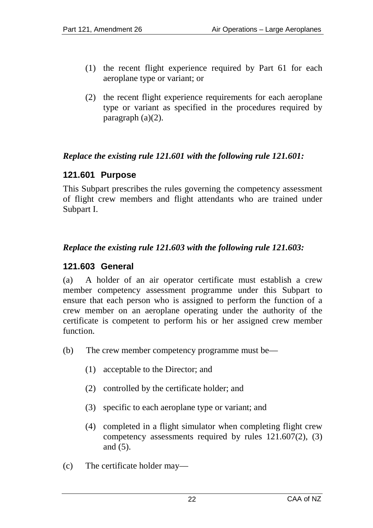- (1) the recent flight experience required by Part 61 for each aeroplane type or variant; or
- (2) the recent flight experience requirements for each aeroplane type or variant as specified in the procedures required by paragraph (a)(2).

#### *Replace the existing rule 121.601 with the following rule 121.601:*

#### **121.601 Purpose**

This Subpart prescribes the rules governing the competency assessment of flight crew members and flight attendants who are trained under Subpart I.

#### *Replace the existing rule 121.603 with the following rule 121.603:*

#### **121.603 General**

(a) A holder of an air operator certificate must establish a crew member competency assessment programme under this Subpart to ensure that each person who is assigned to perform the function of a crew member on an aeroplane operating under the authority of the certificate is competent to perform his or her assigned crew member function.

- (b) The crew member competency programme must be—
	- (1) acceptable to the Director; and
	- (2) controlled by the certificate holder; and
	- (3) specific to each aeroplane type or variant; and
	- (4) completed in a flight simulator when completing flight crew competency assessments required by rules 121.607(2), (3) and (5).
- (c) The certificate holder may—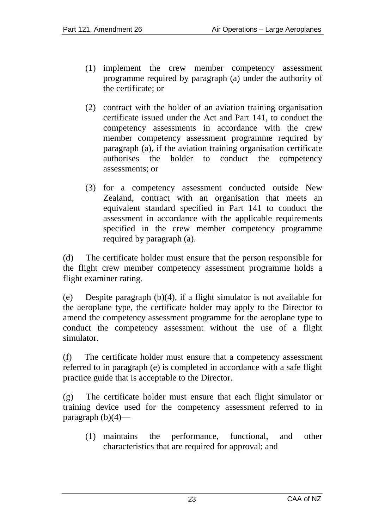- (1) implement the crew member competency assessment programme required by paragraph (a) under the authority of the certificate; or
- (2) contract with the holder of an aviation training organisation certificate issued under the Act and Part 141, to conduct the competency assessments in accordance with the crew member competency assessment programme required by paragraph (a), if the aviation training organisation certificate authorises the holder to conduct the competency assessments; or
- (3) for a competency assessment conducted outside New Zealand, contract with an organisation that meets an equivalent standard specified in Part 141 to conduct the assessment in accordance with the applicable requirements specified in the crew member competency programme required by paragraph (a).

(d) The certificate holder must ensure that the person responsible for the flight crew member competency assessment programme holds a flight examiner rating.

(e) Despite paragraph (b)(4), if a flight simulator is not available for the aeroplane type, the certificate holder may apply to the Director to amend the competency assessment programme for the aeroplane type to conduct the competency assessment without the use of a flight simulator.

(f) The certificate holder must ensure that a competency assessment referred to in paragraph (e) is completed in accordance with a safe flight practice guide that is acceptable to the Director.

(g) The certificate holder must ensure that each flight simulator or training device used for the competency assessment referred to in paragraph  $(b)(4)$ —

(1) maintains the performance, functional, and other characteristics that are required for approval; and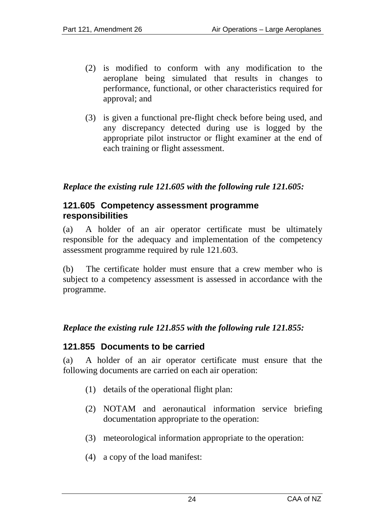- (2) is modified to conform with any modification to the aeroplane being simulated that results in changes to performance, functional, or other characteristics required for approval; and
- (3) is given a functional pre-flight check before being used, and any discrepancy detected during use is logged by the appropriate pilot instructor or flight examiner at the end of each training or flight assessment.

#### *Replace the existing rule 121.605 with the following rule 121.605:*

#### **121.605 Competency assessment programme responsibilities**

(a) A holder of an air operator certificate must be ultimately responsible for the adequacy and implementation of the competency assessment programme required by rule 121.603.

(b) The certificate holder must ensure that a crew member who is subject to a competency assessment is assessed in accordance with the programme.

#### *Replace the existing rule 121.855 with the following rule 121.855:*

#### **121.855 Documents to be carried**

(a) A holder of an air operator certificate must ensure that the following documents are carried on each air operation:

- (1) details of the operational flight plan:
- (2) NOTAM and aeronautical information service briefing documentation appropriate to the operation:
- (3) meteorological information appropriate to the operation:
- (4) a copy of the load manifest: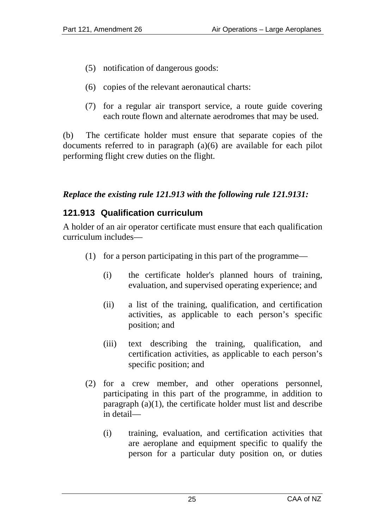- (5) notification of dangerous goods:
- (6) copies of the relevant aeronautical charts:
- (7) for a regular air transport service, a route guide covering each route flown and alternate aerodromes that may be used.

(b) The certificate holder must ensure that separate copies of the documents referred to in paragraph (a)(6) are available for each pilot performing flight crew duties on the flight.

#### *Replace the existing rule 121.913 with the following rule 121.9131:*

## **121.913 Qualification curriculum**

A holder of an air operator certificate must ensure that each qualification curriculum includes—

- (1) for a person participating in this part of the programme—
	- (i) the certificate holder's planned hours of training, evaluation, and supervised operating experience; and
	- (ii) a list of the training, qualification, and certification activities, as applicable to each person's specific position; and
	- (iii) text describing the training, qualification, and certification activities, as applicable to each person's specific position; and
- (2) for a crew member, and other operations personnel, participating in this part of the programme, in addition to paragraph (a)(1), the certificate holder must list and describe in detail—
	- (i) training, evaluation, and certification activities that are aeroplane and equipment specific to qualify the person for a particular duty position on, or duties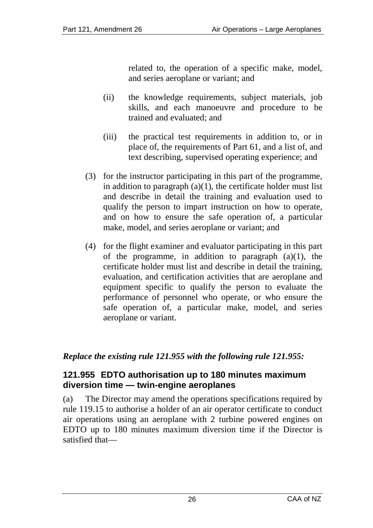related to, the operation of a specific make, model, and series aeroplane or variant; and

- (ii) the knowledge requirements, subject materials, job skills, and each manoeuvre and procedure to be trained and evaluated; and
- (iii) the practical test requirements in addition to, or in place of, the requirements of Part 61, and a list of, and text describing, supervised operating experience; and
- (3) for the instructor participating in this part of the programme, in addition to paragraph  $(a)(1)$ , the certificate holder must list and describe in detail the training and evaluation used to qualify the person to impart instruction on how to operate, and on how to ensure the safe operation of, a particular make, model, and series aeroplane or variant; and
- (4) for the flight examiner and evaluator participating in this part of the programme, in addition to paragraph  $(a)(1)$ , the certificate holder must list and describe in detail the training, evaluation, and certification activities that are aeroplane and equipment specific to qualify the person to evaluate the performance of personnel who operate, or who ensure the safe operation of, a particular make, model, and series aeroplane or variant.

*Replace the existing rule 121.955 with the following rule 121.955:*

## **121.955 EDTO authorisation up to 180 minutes maximum diversion time — twin-engine aeroplanes**

(a) The Director may amend the operations specifications required by rule 119.15 to authorise a holder of an air operator certificate to conduct air operations using an aeroplane with 2 turbine powered engines on EDTO up to 180 minutes maximum diversion time if the Director is satisfied that—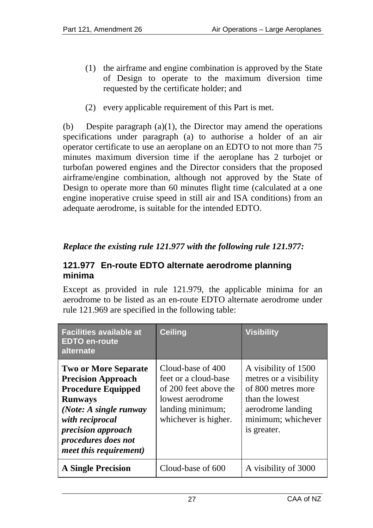- (1) the airframe and engine combination is approved by the State of Design to operate to the maximum diversion time requested by the certificate holder; and
- (2) every applicable requirement of this Part is met.

(b) Despite paragraph  $(a)(1)$ , the Director may amend the operations specifications under paragraph (a) to authorise a holder of an air operator certificate to use an aeroplane on an EDTO to not more than 75 minutes maximum diversion time if the aeroplane has 2 turbojet or turbofan powered engines and the Director considers that the proposed airframe/engine combination, although not approved by the State of Design to operate more than 60 minutes flight time (calculated at a one engine inoperative cruise speed in still air and ISA conditions) from an adequate aerodrome, is suitable for the intended EDTO.

## *Replace the existing rule 121.977 with the following rule 121.977:*

#### **121.977 En-route EDTO alternate aerodrome planning minima**

Except as provided in rule 121.979, the applicable minima for an aerodrome to be listed as an en-route EDTO alternate aerodrome under rule 121.969 are specified in the following table:

| <b>Facilities available at</b><br><b>EDTO en-route</b><br>alternate                                                                                                                                                                | Ceiling                                                                                                                            | <b>Visibility</b>                                                                                                                                 |
|------------------------------------------------------------------------------------------------------------------------------------------------------------------------------------------------------------------------------------|------------------------------------------------------------------------------------------------------------------------------------|---------------------------------------------------------------------------------------------------------------------------------------------------|
| <b>Two or More Separate</b><br><b>Precision Approach</b><br><b>Procedure Equipped</b><br><b>Runways</b><br>(Note: A single runway<br>with reciprocal<br>precision approach<br>procedures does not<br><i>meet this requirement)</i> | Cloud-base of 400<br>feet or a cloud-base<br>of 200 feet above the<br>lowest aerodrome<br>landing minimum;<br>whichever is higher. | A visibility of 1500<br>metres or a visibility<br>of 800 metres more<br>than the lowest<br>aerodrome landing<br>minimum; whichever<br>is greater. |
| <b>A Single Precision</b>                                                                                                                                                                                                          | Cloud-base of 600                                                                                                                  | A visibility of 3000                                                                                                                              |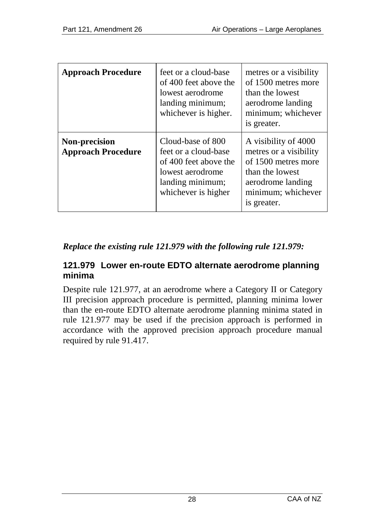| <b>Approach Procedure</b>                  | feet or a cloud-base<br>of 400 feet above the<br>lowest aerodrome<br>landing minimum;<br>whichever is higher.                     | metres or a visibility<br>of 1500 metres more<br>than the lowest<br>aerodrome landing<br>minimum; whichever<br>is greater.                         |
|--------------------------------------------|-----------------------------------------------------------------------------------------------------------------------------------|----------------------------------------------------------------------------------------------------------------------------------------------------|
| Non-precision<br><b>Approach Procedure</b> | Cloud-base of 800<br>feet or a cloud-base<br>of 400 feet above the<br>lowest aerodrome<br>landing minimum;<br>whichever is higher | A visibility of 4000<br>metres or a visibility<br>of 1500 metres more<br>than the lowest<br>aerodrome landing<br>minimum; whichever<br>is greater. |

## *Replace the existing rule 121.979 with the following rule 121.979:*

#### **121.979 Lower en-route EDTO alternate aerodrome planning minima**

Despite rule 121.977, at an aerodrome where a Category II or Category III precision approach procedure is permitted, planning minima lower than the en-route EDTO alternate aerodrome planning minima stated in rule 121.977 may be used if the precision approach is performed in accordance with the approved precision approach procedure manual required by rule 91.417.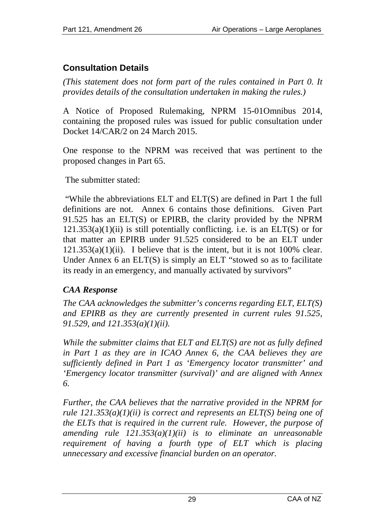## **Consultation Details**

*(This statement does not form part of the rules contained in Part 0. It provides details of the consultation undertaken in making the rules.)*

A Notice of Proposed Rulemaking, NPRM 15-01Omnibus 2014, containing the proposed rules was issued for public consultation under Docket 14/CAR/2 on 24 March 2015.

One response to the NPRM was received that was pertinent to the proposed changes in Part 65.

The submitter stated:

"While the abbreviations ELT and ELT(S) are defined in Part 1 the full definitions are not. Annex 6 contains those definitions. Given Part 91.525 has an ELT(S) or EPIRB, the clarity provided by the NPRM  $121.353(a)(1)(ii)$  is still potentially conflicting, i.e. is an ELT(S) or for that matter an EPIRB under 91.525 considered to be an ELT under  $121.353(a)(1)(ii)$ . I believe that is the intent, but it is not 100% clear. Under Annex 6 an ELT(S) is simply an ELT "stowed so as to facilitate its ready in an emergency, and manually activated by survivors"

## *CAA Response*

*The CAA acknowledges the submitter's concerns regarding ELT, ELT(S) and EPIRB as they are currently presented in current rules 91.525, 91.529, and 121.353(a)(1)(ii).* 

*While the submitter claims that ELT and ELT(S) are not as fully defined in Part 1 as they are in ICAO Annex 6, the CAA believes they are sufficiently defined in Part 1 as 'Emergency locator transmitter' and 'Emergency locator transmitter (survival)' and are aligned with Annex 6.*

*Further, the CAA believes that the narrative provided in the NPRM for rule 121.353(a)(1)(ii) is correct and represents an ELT(S) being one of the ELTs that is required in the current rule. However, the purpose of amending rule 121.353(a)(1)(ii) is to eliminate an unreasonable requirement of having a fourth type of ELT which is placing unnecessary and excessive financial burden on an operator.*